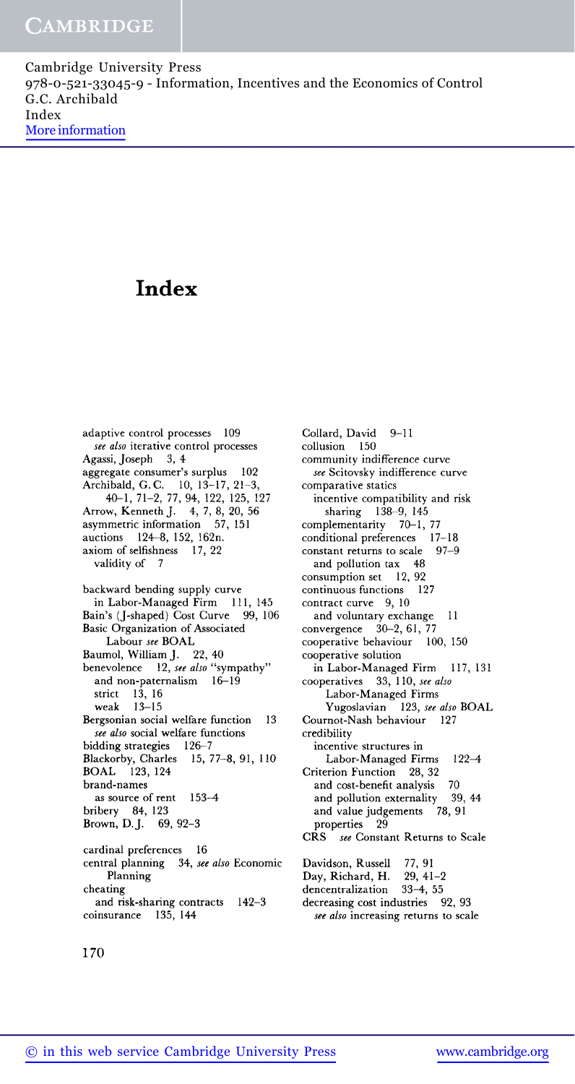## **Index**

adaptive control processes 109 *see also* iterative control processes Agassi, Joseph 3, 4 aggregate consumer's surplus 102 Archibald, G. C. 10, 13-17, 21-3, 40-1, 71-2, 77, 94, 122, 125, 127 Arrow, Kenneth J. 4, 7, 8, 20, 56 asymmetric information 57, 151 auctions 124-8, 152, 162n. axiom of selfishness 17, 22 validity of 7 backward bending supply curve in Labor-Managed Firm 111, 145 Bain's (J-shaped) Cost Curve 99, 106 Basic Organization of Associated Labour *see* BOAL Baumol, William J. 22, 40 benevolence 12, *see also* "sympathy" and non-paternalism 16-19 strict 13, 16 weak 13-15 Bergsonian social welfare function 13 *see also* social welfare functions bidding strategies 126-7 Blackorby, Charles 15, 77-8, 91, 110 BOAL 123, 124 brand-names as source of rent 153-4 bribery 84, 123 Brown, D.J. 69, 92-3 cardinal preferences 16

central planning 34, *see also* Economic Planning cheating and risk-sharing contracts 142-3 coinsurance 135, 144

Collard, David 9-11 collusion 150 community indifference curve *see* Scitovsky indifference curve comparative statics incentive compatibility and risk sharing 138-9, 145 complementarity 70-1, 77 conditional preferences 17-18<br>constant returns to scale 97-9 constant returns to scale and pollution tax 48 consumption set 12, 92 continuous functions 127 contract curve 9, 10 and voluntary exchange 11 convergence 30-2, 61, 77 cooperative behaviour 100, 150 cooperative solution in Labor-Managed Firm 117, 131 cooperatives 33, 110, *see also* Labor-Managed Firms Yugoslavian 123, *see also* BOAL Cournot-Nash behaviour 127 credibility incentive structures in Labor-Managed Firms 122-4 Criterion Function 28, 32 and cost-benefit analysis 70 and pollution externality 39, 44<br>and value judgements 78, 91 and value judgements properties 29 CRS *see* Constant Returns to Scale Davidson, Russell 77, 91 Day, Richard, H. 29, 41-2<br>dencentralization 33-4, 55 dencentralization 33-4, 55 decreasing cost industries 92, 93

*see also* increasing returns to scale

170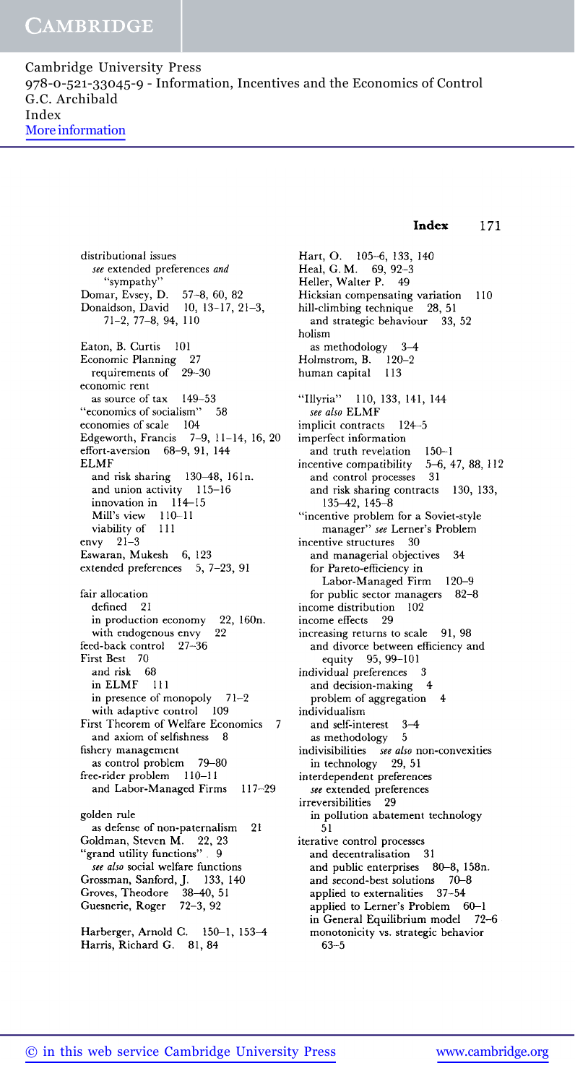distributional issues *see* extended preferences *and* "sympathy" Domar, Evsey, D. 57-8, 60, 82 Donaldson, David 10, 13-17, 21-3, 71-2, 77-8, 94, 110 Eaton, B. Curtis 101 Economic Planning 27<br>requirements of 29-30 requirements of economic rent as source of tax 149-53 "economics of socialism" 58 economies of scale 104 Edgeworth, Francis 7-9, 11-14, 16, 20 effort-aversion 68-9, 91, 144 ELMF and risk sharing 130-48, 16In. and union activity 115-16 innovation in 114-15 Mill's view 110-11 viability of 111 envy 21-3 Eswaran, Mukesh 6, 123 extended preferences 5, 7-23, 91 fair allocation defined 21 in production economy 22, 160n. with endogenous envy 22 feed-back control 27-36 First Best 70 and risk 68 in ELMF 111 in presence of monopoly 71-2 with adaptive control 109 First Theorem of Welfare Economics 7 and axiom of selfishness 8 fishery management as control problem 79-80 free-rider problem 110-11 and Labor-Managed Firms 117-29 golden rule as defense of non-paternalism 21 Goldman, Steven M. 22, 23 "grand utility functions" . 9 *see also* social welfare functions Grossman, Sanford, J. 133,140 Groves, Theodore 38-40, 51 Guesnerie, Roger 72-3, 92 Harberger, Arnold C. 150-1, 153-4

51

Hart, O. 105-6, 133, 140 Heal, G. M. 69, 92-3 Heller, Walter P. 49 Hicksian compensating variation 110 hill-climbing technique 28, 51 and strategic behaviour 33, 52 holism as methodology  $3-4$ <br>olmstrom, B.  $120-2$ Holmstrom, B. human capital 113 "Illyria" 110, 133, 141, 144 *see also* **ELMF** implicit contracts 124-5 imperfect information and truth revelation 150-1 incentive compatibility 5-6, 47, 88, 112 and control processes 31 and risk sharing contracts 130, 133, 135-42, 145-8 "incentive problem for a Soviet-style manager" *see* Lerner's Problem incentive structures 30 and managerial objectives 34 for Pareto-efficiency in Labor-Managed Firm 120-9 for public sector managers 82-8 income distribution 102 income effects 29 increasing returns to scale 91, 98 and divorce between efficiency and equity 95, 99-101 individual preferences 3 and decision-making 4 problem of aggregation 4 individualism and self-interest 3-4 as methodology 5 indivisibilities *see also* non-convexities in technology 29, 51 interdependent preferences *see* extended preferences irreversibilities 29 in pollution abatement technology iterative control processes and decentralisation 31 and public enterprises 80-8, 158n. and second-best solutions 70-8 applied to externalities 37-54 applied to Lerner's Problem 60-1 in General Equilibrium model 72-6 monotonicity vs. strategic behavior 63-5

**Index 171**

Harris, Richard G. 81, 84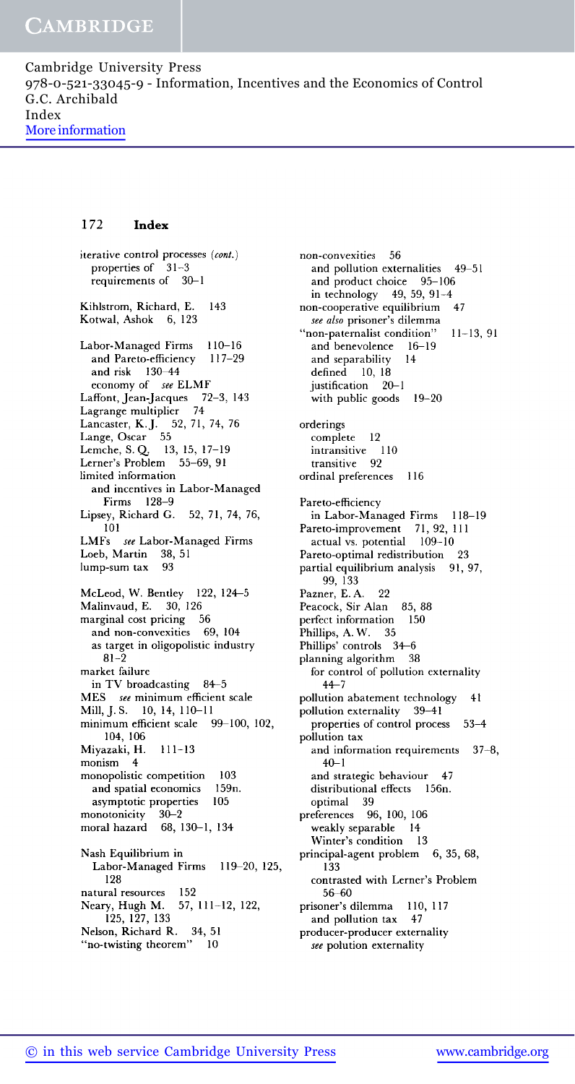## **172 Index**

iterative control processes *(cont.)* properties of 31-3 requirements of 30-1 Kihlstrom, Richard, E. Kotwal, Ashok 6, 123 143 Labor-Managed Firms 110-16 and Pareto-efficiency 117-29 and risk 130-44 economy of *see* ELMF Laffont, Jean-Jacques 72-3, 143 Lagrange multiplier 74 Lancaster, K.J. 52, 71, 74, 76 Lange, Oscar 55 Lemche, S. *Q.* 13, 15, 17-19 Lerner's Problem 55-69, 91 limited information and incentives in Labor-Managed Firms 128-9 Lipsey, Richard G. 52, 71, 74, 76, 101 LMFs *see* Labor-Managed Firms Loeb, Martin 38, 51 lump-sum tax 93 McLeod, W. Bentley 122, 124-5 Malinvaud, E. 30, 126 marginal cost pricing 56 and non-convexities 69, 104 as target in oligopolistic industry 81-2 market failure in TV broadcasting 84—5 MES *see* minimum efficient scale Mill,J.S. 10, 14, 110-11 minimum efficient scale 99-100, 102, 104, 106 Miyazaki, H. 111-13 monism 4 monopolistic competition 103 and spatial economics 159n. asymptotic properties 105 monotonicity 30-2 moral hazard 68, 130-1, 134 Nash Equilibrium in Labor-Managed Firms 119-20, 125, 128 natural resources 152 Neary, Hugh M. 57, 111-12, 122, 125, 127, 133 Nelson, Richard R. 34, 51 "no-twisting theorem" 10

non-convexities 56 and pollution externalities 49-51 and product choice 95-106 in technology 49, 59, 91-4 non-cooperative equilibrium 47 *see also* prisoner's dilemma "non-paternalist condition" 11-13, 91 and benevolence 16-19 and separability 14 defined 10, 18 justification 20-1 with public goods 19-20 orderings complete 12 intransitive 110 transitive 92 ordinal preferences 116 Pareto-efficiency in Labor-Managed Firms 118-19 Pareto-improvement 71, 92, 111 actual vs. potential 109-10 Pareto-optimal redistribution 23 partial equilibrium analysis 91, 97, 99, 133 Pazner, E. A. 22 Peacock, Sir Alan 85, 88 perfect information 150 Phillips, A. W. 35 Phillips' controls 34—6 planning algorithm 38 for control of pollution externality 44-7 pollution abatement technology 41 pollution externality 39-41 properties of control process 53-4 pollution tax and information requirements 37-8,  $40 - 1$ and strategic behaviour 47 distributional effects 156n. optimal 39 preferences 96, 100, 106 weakly separable 14 Winter's condition 13 principal-agent problem 6, 35, 68, 133 contrasted with Lerner's Problem 56-60 prisoner's dilemma 110, 117 and pollution tax 47 producer-producer externality *see* polution externality